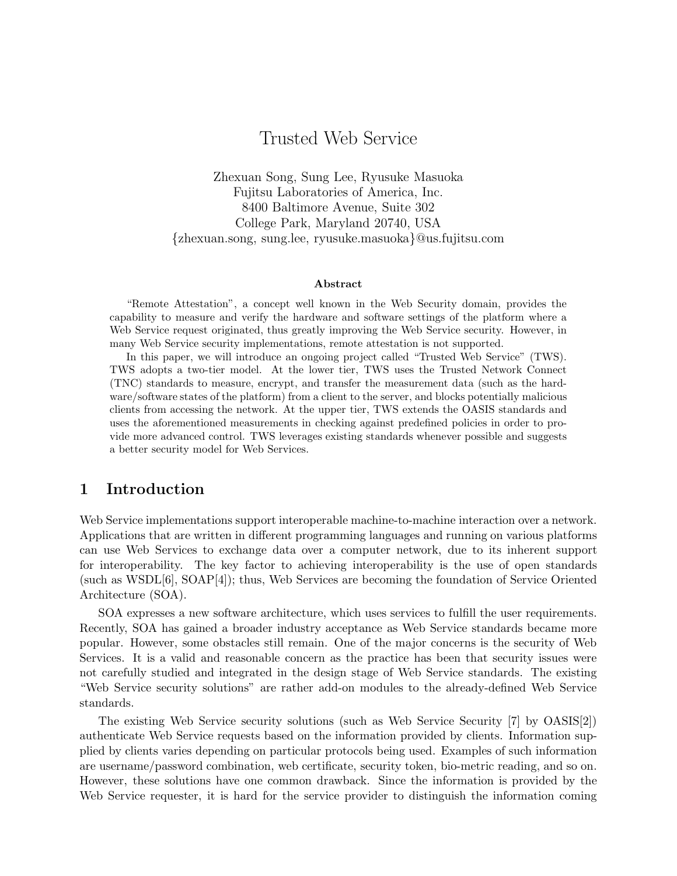# Trusted Web Service

Zhexuan Song, Sung Lee, Ryusuke Masuoka Fujitsu Laboratories of America, Inc. 8400 Baltimore Avenue, Suite 302 College Park, Maryland 20740, USA *{*zhexuan.song, sung.lee, ryusuke.masuoka*}*@us.fujitsu.com

#### **Abstract**

"Remote Attestation", a concept well known in the Web Security domain, provides the capability to measure and verify the hardware and software settings of the platform where a Web Service request originated, thus greatly improving the Web Service security. However, in many Web Service security implementations, remote attestation is not supported.

In this paper, we will introduce an ongoing project called "Trusted Web Service" (TWS). TWS adopts a two-tier model. At the lower tier, TWS uses the Trusted Network Connect (TNC) standards to measure, encrypt, and transfer the measurement data (such as the hardware/software states of the platform) from a client to the server, and blocks potentially malicious clients from accessing the network. At the upper tier, TWS extends the OASIS standards and uses the aforementioned measurements in checking against predefined policies in order to provide more advanced control. TWS leverages existing standards whenever possible and suggests a better security model for Web Services.

### **1 Introduction**

Web Service implementations support interoperable machine-to-machine interaction over a network. Applications that are written in different programming languages and running on various platforms can use Web Services to exchange data over a computer network, due to its inherent support for interoperability. The key factor to achieving interoperability is the use of open standards (such as WSDL[6], SOAP[4]); thus, Web Services are becoming the foundation of Service Oriented Architecture (SOA).

SOA expresses a new software architecture, which uses services to fulfill the user requirements. Recently, SOA has gained a broader industry acceptance as Web Service standards became more popular. However, some obstacles still remain. One of the major concerns is the security of Web Services. It is a valid and reasonable concern as the practice has been that security issues were not carefully studied and integrated in the design stage of Web Service standards. The existing "Web Service security solutions" are rather add-on modules to the already-defined Web Service standards.

The existing Web Service security solutions (such as Web Service Security [7] by OASIS[2]) authenticate Web Service requests based on the information provided by clients. Information supplied by clients varies depending on particular protocols being used. Examples of such information are username/password combination, web certificate, security token, bio-metric reading, and so on. However, these solutions have one common drawback. Since the information is provided by the Web Service requester, it is hard for the service provider to distinguish the information coming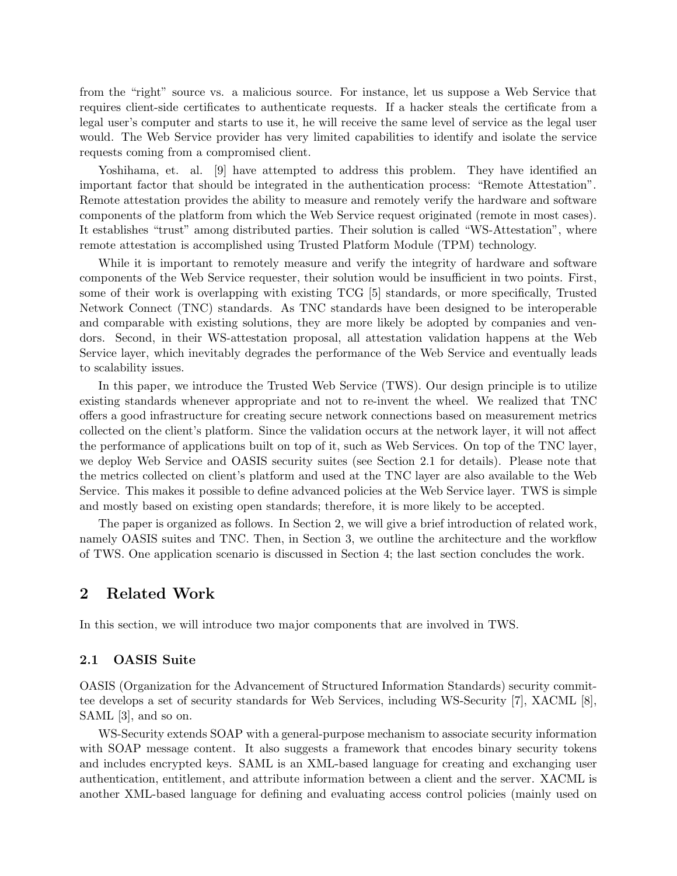from the "right" source vs. a malicious source. For instance, let us suppose a Web Service that requires client-side certificates to authenticate requests. If a hacker steals the certificate from a legal user's computer and starts to use it, he will receive the same level of service as the legal user would. The Web Service provider has very limited capabilities to identify and isolate the service requests coming from a compromised client.

Yoshihama, et. al. [9] have attempted to address this problem. They have identified an important factor that should be integrated in the authentication process: "Remote Attestation". Remote attestation provides the ability to measure and remotely verify the hardware and software components of the platform from which the Web Service request originated (remote in most cases). It establishes "trust" among distributed parties. Their solution is called "WS-Attestation", where remote attestation is accomplished using Trusted Platform Module (TPM) technology.

While it is important to remotely measure and verify the integrity of hardware and software components of the Web Service requester, their solution would be insufficient in two points. First, some of their work is overlapping with existing TCG [5] standards, or more specifically, Trusted Network Connect (TNC) standards. As TNC standards have been designed to be interoperable and comparable with existing solutions, they are more likely be adopted by companies and vendors. Second, in their WS-attestation proposal, all attestation validation happens at the Web Service layer, which inevitably degrades the performance of the Web Service and eventually leads to scalability issues.

In this paper, we introduce the Trusted Web Service (TWS). Our design principle is to utilize existing standards whenever appropriate and not to re-invent the wheel. We realized that TNC offers a good infrastructure for creating secure network connections based on measurement metrics collected on the client's platform. Since the validation occurs at the network layer, it will not affect the performance of applications built on top of it, such as Web Services. On top of the TNC layer, we deploy Web Service and OASIS security suites (see Section 2.1 for details). Please note that the metrics collected on client's platform and used at the TNC layer are also available to the Web Service. This makes it possible to define advanced policies at the Web Service layer. TWS is simple and mostly based on existing open standards; therefore, it is more likely to be accepted.

The paper is organized as follows. In Section 2, we will give a brief introduction of related work, namely OASIS suites and TNC. Then, in Section 3, we outline the architecture and the workflow of TWS. One application scenario is discussed in Section 4; the last section concludes the work.

### **2 Related Work**

In this section, we will introduce two major components that are involved in TWS.

#### **2.1 OASIS Suite**

OASIS (Organization for the Advancement of Structured Information Standards) security committee develops a set of security standards for Web Services, including WS-Security [7], XACML [8], SAML [3], and so on.

WS-Security extends SOAP with a general-purpose mechanism to associate security information with SOAP message content. It also suggests a framework that encodes binary security tokens and includes encrypted keys. SAML is an XML-based language for creating and exchanging user authentication, entitlement, and attribute information between a client and the server. XACML is another XML-based language for defining and evaluating access control policies (mainly used on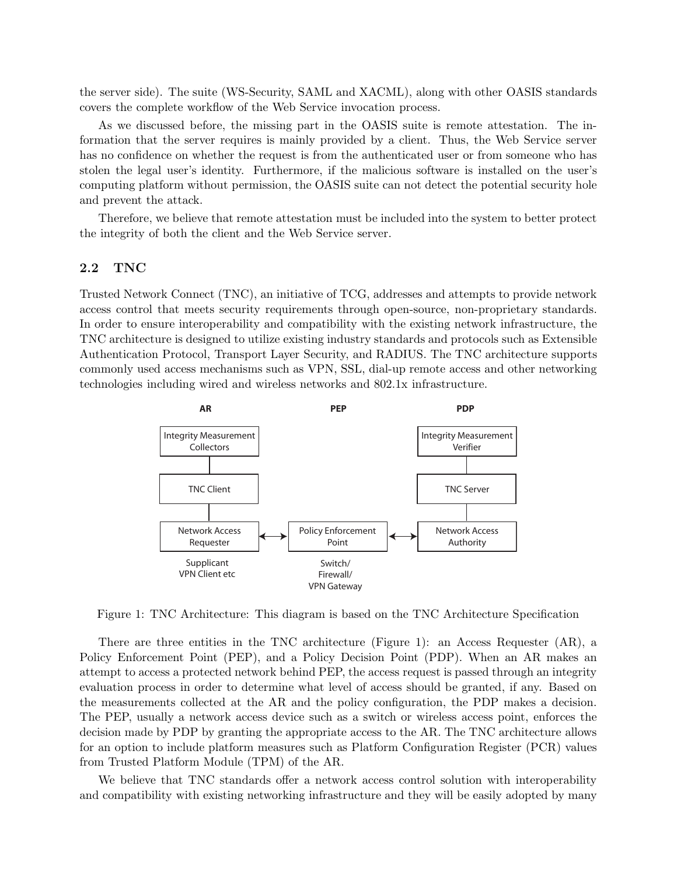the server side). The suite (WS-Security, SAML and XACML), along with other OASIS standards covers the complete workflow of the Web Service invocation process.

As we discussed before, the missing part in the OASIS suite is remote attestation. The information that the server requires is mainly provided by a client. Thus, the Web Service server has no confidence on whether the request is from the authenticated user or from someone who has stolen the legal user's identity. Furthermore, if the malicious software is installed on the user's computing platform without permission, the OASIS suite can not detect the potential security hole and prevent the attack.

Therefore, we believe that remote attestation must be included into the system to better protect the integrity of both the client and the Web Service server.

#### **2.2 TNC**

Trusted Network Connect (TNC), an initiative of TCG, addresses and attempts to provide network access control that meets security requirements through open-source, non-proprietary standards. In order to ensure interoperability and compatibility with the existing network infrastructure, the TNC architecture is designed to utilize existing industry standards and protocols such as Extensible Authentication Protocol, Transport Layer Security, and RADIUS. The TNC architecture supports commonly used access mechanisms such as VPN, SSL, dial-up remote access and other networking technologies including wired and wireless networks and 802.1x infrastructure.



Figure 1: TNC Architecture: This diagram is based on the TNC Architecture Specification

There are three entities in the TNC architecture (Figure 1): an Access Requester (AR), a Policy Enforcement Point (PEP), and a Policy Decision Point (PDP). When an AR makes an attempt to access a protected network behind PEP, the access request is passed through an integrity evaluation process in order to determine what level of access should be granted, if any. Based on the measurements collected at the AR and the policy configuration, the PDP makes a decision. The PEP, usually a network access device such as a switch or wireless access point, enforces the decision made by PDP by granting the appropriate access to the AR. The TNC architecture allows for an option to include platform measures such as Platform Configuration Register (PCR) values from Trusted Platform Module (TPM) of the AR.

We believe that TNC standards offer a network access control solution with interoperability and compatibility with existing networking infrastructure and they will be easily adopted by many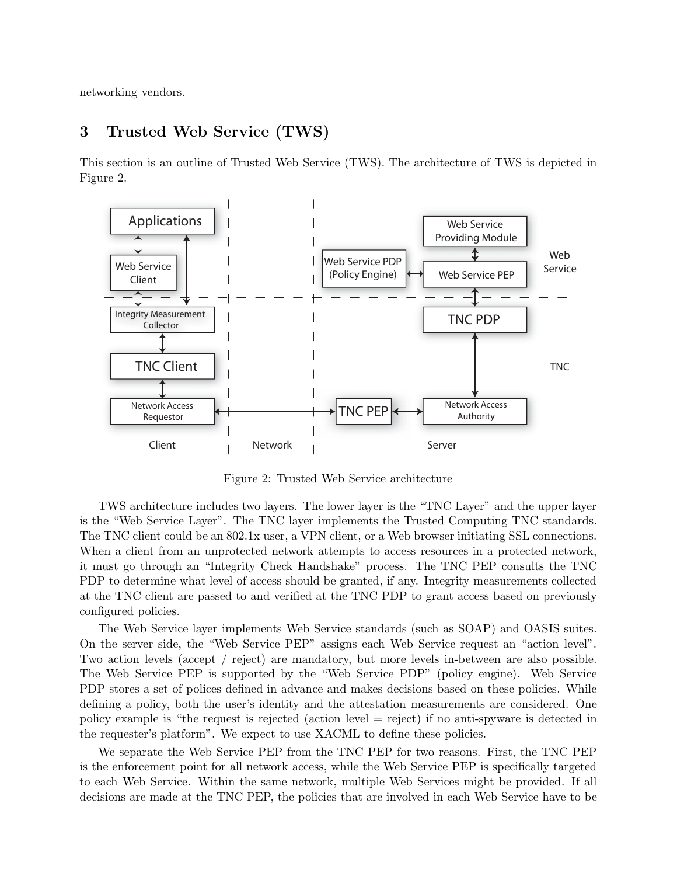networking vendors.

## **3 Trusted Web Service (TWS)**

This section is an outline of Trusted Web Service (TWS). The architecture of TWS is depicted in Figure 2.



Figure 2: Trusted Web Service architecture

TWS architecture includes two layers. The lower layer is the "TNC Layer" and the upper layer is the "Web Service Layer". The TNC layer implements the Trusted Computing TNC standards. The TNC client could be an 802.1x user, a VPN client, or a Web browser initiating SSL connections. When a client from an unprotected network attempts to access resources in a protected network, it must go through an "Integrity Check Handshake" process. The TNC PEP consults the TNC PDP to determine what level of access should be granted, if any. Integrity measurements collected at the TNC client are passed to and verified at the TNC PDP to grant access based on previously configured policies.

The Web Service layer implements Web Service standards (such as SOAP) and OASIS suites. On the server side, the "Web Service PEP" assigns each Web Service request an "action level". Two action levels (accept / reject) are mandatory, but more levels in-between are also possible. The Web Service PEP is supported by the "Web Service PDP" (policy engine). Web Service PDP stores a set of polices defined in advance and makes decisions based on these policies. While defining a policy, both the user's identity and the attestation measurements are considered. One policy example is "the request is rejected (action level = reject) if no anti-spyware is detected in the requester's platform". We expect to use XACML to define these policies.

We separate the Web Service PEP from the TNC PEP for two reasons. First, the TNC PEP is the enforcement point for all network access, while the Web Service PEP is specifically targeted to each Web Service. Within the same network, multiple Web Services might be provided. If all decisions are made at the TNC PEP, the policies that are involved in each Web Service have to be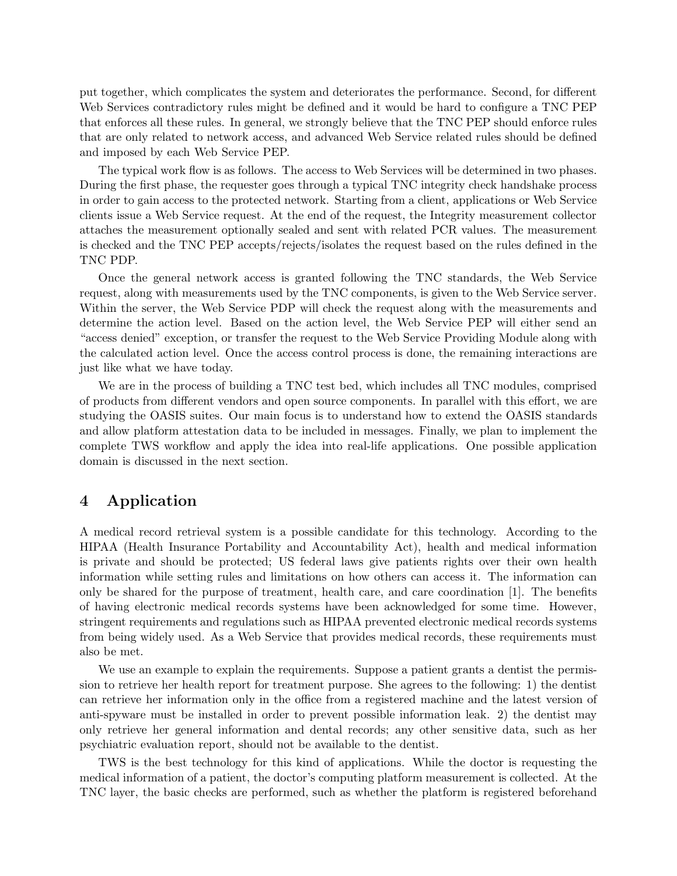put together, which complicates the system and deteriorates the performance. Second, for different Web Services contradictory rules might be defined and it would be hard to configure a TNC PEP that enforces all these rules. In general, we strongly believe that the TNC PEP should enforce rules that are only related to network access, and advanced Web Service related rules should be defined and imposed by each Web Service PEP.

The typical work flow is as follows. The access to Web Services will be determined in two phases. During the first phase, the requester goes through a typical TNC integrity check handshake process in order to gain access to the protected network. Starting from a client, applications or Web Service clients issue a Web Service request. At the end of the request, the Integrity measurement collector attaches the measurement optionally sealed and sent with related PCR values. The measurement is checked and the TNC PEP accepts/rejects/isolates the request based on the rules defined in the TNC PDP.

Once the general network access is granted following the TNC standards, the Web Service request, along with measurements used by the TNC components, is given to the Web Service server. Within the server, the Web Service PDP will check the request along with the measurements and determine the action level. Based on the action level, the Web Service PEP will either send an "access denied" exception, or transfer the request to the Web Service Providing Module along with the calculated action level. Once the access control process is done, the remaining interactions are just like what we have today.

We are in the process of building a TNC test bed, which includes all TNC modules, comprised of products from different vendors and open source components. In parallel with this effort, we are studying the OASIS suites. Our main focus is to understand how to extend the OASIS standards and allow platform attestation data to be included in messages. Finally, we plan to implement the complete TWS workflow and apply the idea into real-life applications. One possible application domain is discussed in the next section.

## **4 Application**

A medical record retrieval system is a possible candidate for this technology. According to the HIPAA (Health Insurance Portability and Accountability Act), health and medical information is private and should be protected; US federal laws give patients rights over their own health information while setting rules and limitations on how others can access it. The information can only be shared for the purpose of treatment, health care, and care coordination [1]. The benefits of having electronic medical records systems have been acknowledged for some time. However, stringent requirements and regulations such as HIPAA prevented electronic medical records systems from being widely used. As a Web Service that provides medical records, these requirements must also be met.

We use an example to explain the requirements. Suppose a patient grants a dentist the permission to retrieve her health report for treatment purpose. She agrees to the following: 1) the dentist can retrieve her information only in the office from a registered machine and the latest version of anti-spyware must be installed in order to prevent possible information leak. 2) the dentist may only retrieve her general information and dental records; any other sensitive data, such as her psychiatric evaluation report, should not be available to the dentist.

TWS is the best technology for this kind of applications. While the doctor is requesting the medical information of a patient, the doctor's computing platform measurement is collected. At the TNC layer, the basic checks are performed, such as whether the platform is registered beforehand